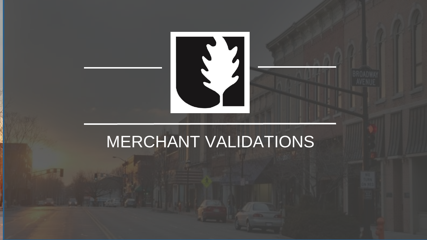

## MERCHANT VALIDATIONS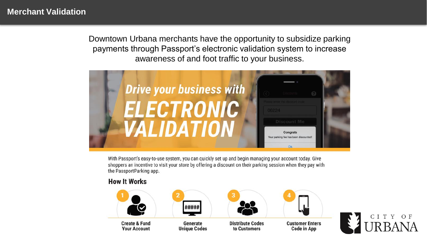#### **Merchant Validation**

Downtown Urbana merchants have the opportunity to subsidize parking payments through Passport's electronic validation system to increase awareness of and foot traffic to your business.



With Passport's easy-to-use system, you can quickly set up and begin managing your account today. Give shoppers an incentive to visit your store by offering a discount on their parking session when they pay with the PassportParking app.

#### **How It Works**



**Create & Fund Your Account** 



Generate **Unique Codes** 



to Customers



**Customer Enters Code in App** 

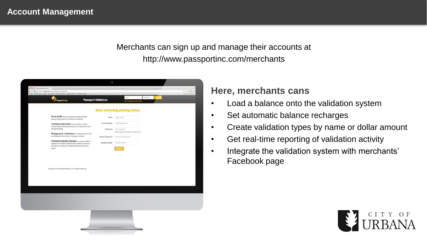#### Merchants can sign up and manage their accounts at http://www.passportinc.com/merchants

| Ω<br><b>PassportParking</b>                                                                                                                                                              | <b>Passport Validation</b> | Enall<br>Cent access your account?                             | Password |  |
|------------------------------------------------------------------------------------------------------------------------------------------------------------------------------------------|----------------------------|----------------------------------------------------------------|----------|--|
|                                                                                                                                                                                          |                            | <b>Start validating parking today!</b>                         |          |  |
| Drive traffic to your business by subsidizing nearby<br>parking through partial or full electronic validations                                                                           | Name.                      | Name of user                                                   |          |  |
| Increase awareness of your business to tourists<br>through location-based advertising when it matters most while                                                                         | E-mail Address             | you@example.com                                                |          |  |
| paying for parking!<br>Engage your customers and incentivize return visits                                                                                                               | Password                   | New password<br>Password should be at least 6 characters long. |          |  |
| by decreasing the all-in cost of visiting your business                                                                                                                                  | Confirm Password           | Canfirm new password                                           |          |  |
| Comprehensively manage your unique validation<br>program, from creating validation types to defining users and<br>permissions; tracking your marketing dollars has never been<br>oasier! | Contact Number             | Contact number                                                 |          |  |
|                                                                                                                                                                                          |                            |                                                                |          |  |
|                                                                                                                                                                                          |                            |                                                                |          |  |
|                                                                                                                                                                                          |                            |                                                                |          |  |
| Copyright @ 2012 Passport Parking, LLC. All Rights Reserved.                                                                                                                             |                            |                                                                |          |  |
|                                                                                                                                                                                          |                            |                                                                |          |  |
|                                                                                                                                                                                          |                            |                                                                |          |  |
|                                                                                                                                                                                          |                            |                                                                |          |  |
|                                                                                                                                                                                          |                            |                                                                |          |  |
|                                                                                                                                                                                          |                            |                                                                |          |  |
|                                                                                                                                                                                          |                            |                                                                |          |  |
|                                                                                                                                                                                          |                            |                                                                |          |  |
|                                                                                                                                                                                          |                            |                                                                |          |  |

#### **Here, merchants cans**

- Load a balance onto the validation system
- Set automatic balance recharges
- Create validation types by name or dollar amount
- Get real-time reporting of validation activity
- Integrate the validation system with merchants' Facebook page

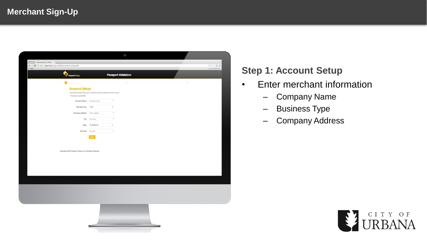| <b>B.O.O.</b> & Fascostheleng Validation of No. 1            |                                                                                |                    |                            |    |                 |
|--------------------------------------------------------------|--------------------------------------------------------------------------------|--------------------|----------------------------|----|-----------------|
| ← → C & https://ppprk.com/apps/validation/account-setup.php# |                                                                                |                    |                            |    | <b>OQ O D B</b> |
| <b>IT</b> Apps                                               |                                                                                |                    |                            |    | Other Boskmarks |
|                                                              |                                                                                |                    |                            |    |                 |
|                                                              | PassportParking                                                                |                    | <b>Passport Validation</b> |    |                 |
|                                                              |                                                                                |                    |                            |    |                 |
|                                                              |                                                                                |                    | ٠                          | ×, |                 |
|                                                              | <b>Account Setup</b>                                                           |                    |                            |    |                 |
|                                                              | We need information about your business to setup a validation account for you. |                    |                            |    |                 |
|                                                              | * Denotes a required field                                                     |                    |                            |    |                 |
|                                                              | Company Name Company name                                                      |                    |                            |    |                 |
|                                                              |                                                                                |                    |                            |    |                 |
|                                                              | Business Type                                                                  | Hotel              | ٠                          |    |                 |
|                                                              | Company Address                                                                | Street address     |                            |    |                 |
|                                                              |                                                                                |                    |                            |    |                 |
|                                                              | City                                                                           | City name          |                            |    |                 |
|                                                              |                                                                                | State AL (Aiabama) | $\frac{1}{2}$              |    |                 |
|                                                              |                                                                                |                    |                            |    |                 |
|                                                              | Zip Code Zip code                                                              |                    |                            |    |                 |
|                                                              |                                                                                | Next               |                            |    |                 |
|                                                              |                                                                                |                    |                            |    |                 |
|                                                              |                                                                                |                    |                            |    |                 |
|                                                              |                                                                                |                    |                            |    |                 |
|                                                              | Copyright @ 2012 Passport Parking, LLC. All Rights Reserved.                   |                    |                            |    |                 |
|                                                              |                                                                                |                    |                            |    |                 |
|                                                              |                                                                                |                    |                            |    |                 |
|                                                              |                                                                                |                    |                            |    |                 |
|                                                              |                                                                                |                    |                            |    |                 |
|                                                              |                                                                                |                    |                            |    |                 |
|                                                              |                                                                                |                    |                            |    |                 |
|                                                              |                                                                                |                    |                            |    |                 |
|                                                              |                                                                                |                    |                            |    |                 |
|                                                              |                                                                                |                    |                            |    |                 |
|                                                              |                                                                                |                    |                            |    |                 |
|                                                              |                                                                                |                    |                            |    |                 |
|                                                              |                                                                                |                    |                            |    |                 |
|                                                              |                                                                                |                    |                            |    |                 |
|                                                              |                                                                                |                    |                            |    |                 |
|                                                              |                                                                                |                    |                            |    |                 |
|                                                              |                                                                                |                    |                            |    |                 |
|                                                              |                                                                                |                    |                            |    |                 |
|                                                              |                                                                                |                    |                            |    |                 |
|                                                              |                                                                                |                    |                            |    |                 |

### **Step 1: Account Setup**

- Enter merchant information
	- Company Name
	- Business Type
	- Company Address

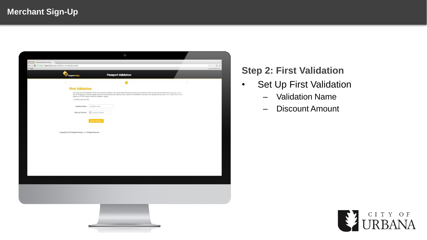| $\begin{array}{ c c c c }\hline \textbf{0} & \textbf{0} & \textbf{0} & \textbf{0} & \textbf{0} & \textbf{0} & \textbf{0} & \textbf{0} & \textbf{0} & \textbf{0} & \textbf{0} & \textbf{0} & \textbf{0} & \textbf{0} & \textbf{0} & \textbf{0} & \textbf{0} & \textbf{0} & \textbf{0} & \textbf{0} & \textbf{0} & \textbf{0} & \textbf{0} & \textbf{0} & \textbf{0} & \textbf{0} & \textbf{0} & \textbf{0} & \textbf{0} &$ |                                                              |                                                                                                                                                                                                                                    |               |                                     |
|---------------------------------------------------------------------------------------------------------------------------------------------------------------------------------------------------------------------------------------------------------------------------------------------------------------------------------------------------------------------------------------------------------------------------|--------------------------------------------------------------|------------------------------------------------------------------------------------------------------------------------------------------------------------------------------------------------------------------------------------|---------------|-------------------------------------|
| ← → C & https://ppprk.com/apps/validation/newvalidation.php#<br>El Apps                                                                                                                                                                                                                                                                                                                                                   |                                                              |                                                                                                                                                                                                                                    |               | <b>⊘Q☆ ♥ 目</b><br>Cother Boskreader |
|                                                                                                                                                                                                                                                                                                                                                                                                                           |                                                              |                                                                                                                                                                                                                                    |               |                                     |
|                                                                                                                                                                                                                                                                                                                                                                                                                           | P PassportParking                                            | <b>Passport Validation</b>                                                                                                                                                                                                         |               |                                     |
|                                                                                                                                                                                                                                                                                                                                                                                                                           |                                                              |                                                                                                                                                                                                                                    |               |                                     |
|                                                                                                                                                                                                                                                                                                                                                                                                                           | $1.7 - 1.7$                                                  |                                                                                                                                                                                                                                    | $\rightarrow$ |                                     |
|                                                                                                                                                                                                                                                                                                                                                                                                                           | <b>First Validation</b>                                      |                                                                                                                                                                                                                                    |               |                                     |
|                                                                                                                                                                                                                                                                                                                                                                                                                           |                                                              | Let's stup your fint validation. When a user uses this validation, you will be debited the amount used by the outloner as well as a fee of \$0.25 from PassportParking, You will<br>only be changed up the parking the amount on a |               |                                     |
|                                                                                                                                                                                                                                                                                                                                                                                                                           |                                                              |                                                                                                                                                                                                                                    |               |                                     |
|                                                                                                                                                                                                                                                                                                                                                                                                                           | * Denotes a required field                                   |                                                                                                                                                                                                                                    |               |                                     |
|                                                                                                                                                                                                                                                                                                                                                                                                                           | Validation Name                                              | Validation name                                                                                                                                                                                                                    |               |                                     |
|                                                                                                                                                                                                                                                                                                                                                                                                                           | Discount Amount                                              | \$ Amount in dollars                                                                                                                                                                                                               |               |                                     |
|                                                                                                                                                                                                                                                                                                                                                                                                                           |                                                              |                                                                                                                                                                                                                                    |               |                                     |
|                                                                                                                                                                                                                                                                                                                                                                                                                           |                                                              |                                                                                                                                                                                                                                    |               |                                     |
|                                                                                                                                                                                                                                                                                                                                                                                                                           |                                                              | Create Validation                                                                                                                                                                                                                  |               |                                     |
|                                                                                                                                                                                                                                                                                                                                                                                                                           |                                                              |                                                                                                                                                                                                                                    |               |                                     |
|                                                                                                                                                                                                                                                                                                                                                                                                                           |                                                              |                                                                                                                                                                                                                                    |               |                                     |
|                                                                                                                                                                                                                                                                                                                                                                                                                           |                                                              |                                                                                                                                                                                                                                    |               |                                     |
|                                                                                                                                                                                                                                                                                                                                                                                                                           | Copyright @ 2012 Passport Parking, LLC. All Rights Reserved. |                                                                                                                                                                                                                                    |               |                                     |
|                                                                                                                                                                                                                                                                                                                                                                                                                           |                                                              |                                                                                                                                                                                                                                    |               |                                     |
|                                                                                                                                                                                                                                                                                                                                                                                                                           |                                                              |                                                                                                                                                                                                                                    |               |                                     |
|                                                                                                                                                                                                                                                                                                                                                                                                                           |                                                              |                                                                                                                                                                                                                                    |               |                                     |
|                                                                                                                                                                                                                                                                                                                                                                                                                           |                                                              |                                                                                                                                                                                                                                    |               |                                     |
|                                                                                                                                                                                                                                                                                                                                                                                                                           |                                                              |                                                                                                                                                                                                                                    |               |                                     |
|                                                                                                                                                                                                                                                                                                                                                                                                                           |                                                              |                                                                                                                                                                                                                                    |               |                                     |
|                                                                                                                                                                                                                                                                                                                                                                                                                           |                                                              |                                                                                                                                                                                                                                    |               |                                     |
|                                                                                                                                                                                                                                                                                                                                                                                                                           |                                                              |                                                                                                                                                                                                                                    |               |                                     |
|                                                                                                                                                                                                                                                                                                                                                                                                                           |                                                              |                                                                                                                                                                                                                                    |               |                                     |
|                                                                                                                                                                                                                                                                                                                                                                                                                           |                                                              |                                                                                                                                                                                                                                    |               |                                     |
|                                                                                                                                                                                                                                                                                                                                                                                                                           |                                                              |                                                                                                                                                                                                                                    |               |                                     |
|                                                                                                                                                                                                                                                                                                                                                                                                                           |                                                              |                                                                                                                                                                                                                                    |               |                                     |
|                                                                                                                                                                                                                                                                                                                                                                                                                           |                                                              |                                                                                                                                                                                                                                    |               |                                     |
|                                                                                                                                                                                                                                                                                                                                                                                                                           |                                                              |                                                                                                                                                                                                                                    |               |                                     |
|                                                                                                                                                                                                                                                                                                                                                                                                                           |                                                              |                                                                                                                                                                                                                                    |               |                                     |
|                                                                                                                                                                                                                                                                                                                                                                                                                           |                                                              |                                                                                                                                                                                                                                    |               |                                     |
|                                                                                                                                                                                                                                                                                                                                                                                                                           |                                                              |                                                                                                                                                                                                                                    |               |                                     |
|                                                                                                                                                                                                                                                                                                                                                                                                                           |                                                              |                                                                                                                                                                                                                                    |               |                                     |
|                                                                                                                                                                                                                                                                                                                                                                                                                           |                                                              |                                                                                                                                                                                                                                    |               |                                     |
|                                                                                                                                                                                                                                                                                                                                                                                                                           |                                                              |                                                                                                                                                                                                                                    |               |                                     |
|                                                                                                                                                                                                                                                                                                                                                                                                                           |                                                              |                                                                                                                                                                                                                                    |               |                                     |
|                                                                                                                                                                                                                                                                                                                                                                                                                           |                                                              |                                                                                                                                                                                                                                    |               |                                     |
|                                                                                                                                                                                                                                                                                                                                                                                                                           |                                                              |                                                                                                                                                                                                                                    |               |                                     |
|                                                                                                                                                                                                                                                                                                                                                                                                                           |                                                              |                                                                                                                                                                                                                                    |               |                                     |

#### **Step 2: First Validation**

- Set Up First Validation
	- Validation Name
	- Discount Amount

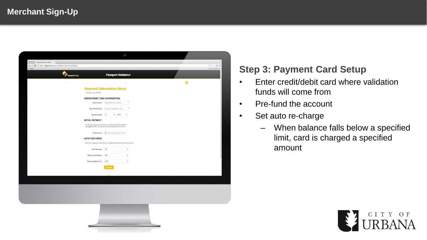|                                                                        |                 |                                                                                                                                  |      | G                                |  |  |                                                   |
|------------------------------------------------------------------------|-----------------|----------------------------------------------------------------------------------------------------------------------------------|------|----------------------------------|--|--|---------------------------------------------------|
| $0.0.0$ / $\bullet$ FaceportParking Validation $\times$                |                 |                                                                                                                                  |      |                                  |  |  |                                                   |
| ← → C & https://ppprk.com/apps/validation/newusercard.php#<br>ET. Apps |                 |                                                                                                                                  |      |                                  |  |  | $\circ \alpha \circ \bullet =$<br>Other Boskmarks |
|                                                                        |                 |                                                                                                                                  |      | <b>Passport Validation</b>       |  |  |                                                   |
|                                                                        | PassportParking |                                                                                                                                  |      |                                  |  |  |                                                   |
|                                                                        |                 |                                                                                                                                  |      |                                  |  |  |                                                   |
|                                                                        |                 | <b>Payment Information Setup</b>                                                                                                 |      |                                  |  |  |                                                   |
|                                                                        |                 | * Denotes a required field                                                                                                       |      |                                  |  |  |                                                   |
|                                                                        |                 | <b>CREDIT/DEBIT CARD INFORMATION</b>                                                                                             |      |                                  |  |  |                                                   |
|                                                                        |                 | Card Number Credit/Debit card number                                                                                             |      |                                  |  |  |                                                   |
|                                                                        |                 | Name As On Card Name as it appears on card                                                                                       |      |                                  |  |  |                                                   |
|                                                                        |                 | Expiration Date 01                                                                                                               | 2014 | $\sim$                           |  |  |                                                   |
|                                                                        |                 | <b>INITIAL PAYMENT</b>                                                                                                           |      |                                  |  |  |                                                   |
|                                                                        |                 | To setup your account we need you to make some initial payment.<br>We suggest \$1000. You can put any amount greater than \$100. |      |                                  |  |  |                                                   |
|                                                                        |                 |                                                                                                                                  |      |                                  |  |  |                                                   |
|                                                                        |                 | Initial Amount \$ Amount greater than \$100                                                                                      |      |                                  |  |  |                                                   |
|                                                                        |                 | <b>AUTO RECHARGE</b>                                                                                                             |      |                                  |  |  |                                                   |
|                                                                        |                 | We'll only charge your card when your balance falls below the amount you set.                                                    |      |                                  |  |  |                                                   |
|                                                                        |                 | Auto Recharge ON                                                                                                                 |      | $\left\vert \cdot \right\rangle$ |  |  |                                                   |
|                                                                        |                 | If Balance Falls Below \$20                                                                                                      |      | $\ddot{\phantom{a}}$             |  |  |                                                   |
|                                                                        |                 | Recharge Balance To \$100                                                                                                        |      | $\ddot{\phantom{a}}$             |  |  |                                                   |
|                                                                        |                 |                                                                                                                                  |      |                                  |  |  |                                                   |
|                                                                        |                 |                                                                                                                                  |      |                                  |  |  |                                                   |
|                                                                        |                 |                                                                                                                                  |      |                                  |  |  |                                                   |
|                                                                        |                 |                                                                                                                                  |      |                                  |  |  |                                                   |
|                                                                        |                 |                                                                                                                                  |      |                                  |  |  |                                                   |
|                                                                        |                 |                                                                                                                                  |      |                                  |  |  |                                                   |
|                                                                        |                 |                                                                                                                                  |      |                                  |  |  |                                                   |
|                                                                        |                 |                                                                                                                                  |      |                                  |  |  |                                                   |
|                                                                        |                 |                                                                                                                                  |      |                                  |  |  |                                                   |
|                                                                        |                 |                                                                                                                                  |      |                                  |  |  |                                                   |
|                                                                        |                 |                                                                                                                                  |      |                                  |  |  |                                                   |
|                                                                        |                 |                                                                                                                                  |      |                                  |  |  |                                                   |
|                                                                        |                 |                                                                                                                                  |      |                                  |  |  |                                                   |

#### **Step 3: Payment Card Setup**

- Enter credit/debit card where validation funds will come from
- Pre-fund the account
- Set auto re-charge
	- When balance falls below a specified limit, card is charged a specified amount

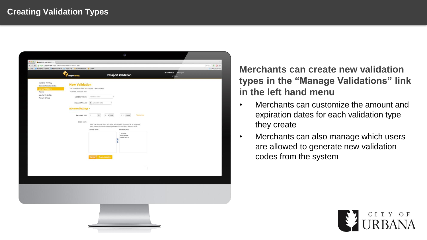

**Merchants can create new validation types in the "Manage Validations" link in the left hand menu**

- Merchants can customize the amount and expiration dates for each validation type they create
- Merchants can also manage which users are allowed to generate new validation codes from the system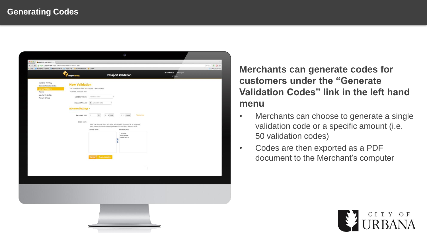

**Merchants can generate codes for customers under the "Generate Validation Codes" link in the left hand menu**

- Merchants can choose to generate a single validation code or a specific amount (i.e. 50 validation codes)
- Codes are then exported as a PDF document to the Merchant's computer